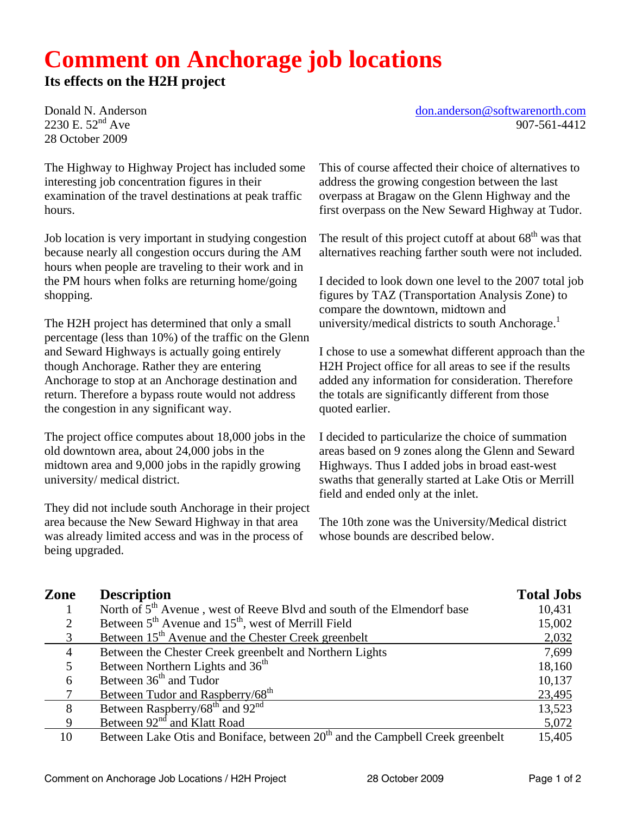## **Comment on Anchorage job locations**

## **Its effects on the H2H project**

2230 E.  $52^{nd}$  Ave 28 October 2009

The Highway to Highway Project has included some interesting job concentration figures in their examination of the travel destinations at peak traffic hours.

Job location is very important in studying congestion because nearly all congestion occurs during the AM hours when people are traveling to their work and in the PM hours when folks are returning home/going shopping.

The H2H project has determined that only a small percentage (less than 10%) of the traffic on the Glenn and Seward Highways is actually going entirely though Anchorage. Rather they are entering Anchorage to stop at an Anchorage destination and return. Therefore a bypass route would not address the congestion in any significant way.

The project office computes about 18,000 jobs in the old downtown area, about 24,000 jobs in the midtown area and 9,000 jobs in the rapidly growing university/ medical district.

They did not include south Anchorage in their project area because the New Seward Highway in that area was already limited access and was in the process of being upgraded.

Donald N. Anderson don.anderson @softwarenorth.com<br>2230 E. 52<sup>nd</sup> Ave 907-561-4412

This of course affected their choice of alternatives to address the growing congestion between the last overpass at Bragaw on the Glenn Highway and the first overpass on the New Seward Highway at Tudor.

The result of this project cutoff at about  $68<sup>th</sup>$  was that alternatives reaching farther south were not included.

I decided to look down one level to the 2007 total job figures by TAZ (Transportation Analysis Zone) to compare the downtown, midtown and university/medical districts to south Anchorage. $<sup>1</sup>$ </sup>

I chose to use a somewhat different approach than the H2H Project office for all areas to see if the results added any information for consideration. Therefore the totals are significantly different from those quoted earlier.

I decided to particularize the choice of summation areas based on 9 zones along the Glenn and Seward Highways. Thus I added jobs in broad east-west swaths that generally started at Lake Otis or Merrill field and ended only at the inlet.

The 10th zone was the University/Medical district whose bounds are described below.

| Zone | <b>Description</b>                                                                        | <b>Total Jobs</b> |
|------|-------------------------------------------------------------------------------------------|-------------------|
|      | North of 5 <sup>th</sup> Avenue, west of Reeve Blvd and south of the Elmendorf base       | 10,431            |
| 2    | Between $5th$ Avenue and $15th$ , west of Merrill Field                                   | 15,002            |
|      | Between 15 <sup>th</sup> Avenue and the Chester Creek greenbelt                           | 2,032             |
| 4    | Between the Chester Creek greenbelt and Northern Lights                                   | 7,699             |
|      | Between Northern Lights and 36 <sup>th</sup>                                              | 18,160            |
| 6    | Between 36 <sup>th</sup> and Tudor                                                        | 10,137            |
|      | Between Tudor and Raspberry/68 <sup>th</sup>                                              | 23,495            |
| 8    | Between Raspberry/68 <sup>th</sup> and 92 <sup>nd</sup>                                   | 13,523            |
| 9    | Between 92 <sup>nd</sup> and Klatt Road                                                   | 5,072             |
| 10   | Between Lake Otis and Boniface, between 20 <sup>th</sup> and the Campbell Creek greenbelt | 15,405            |